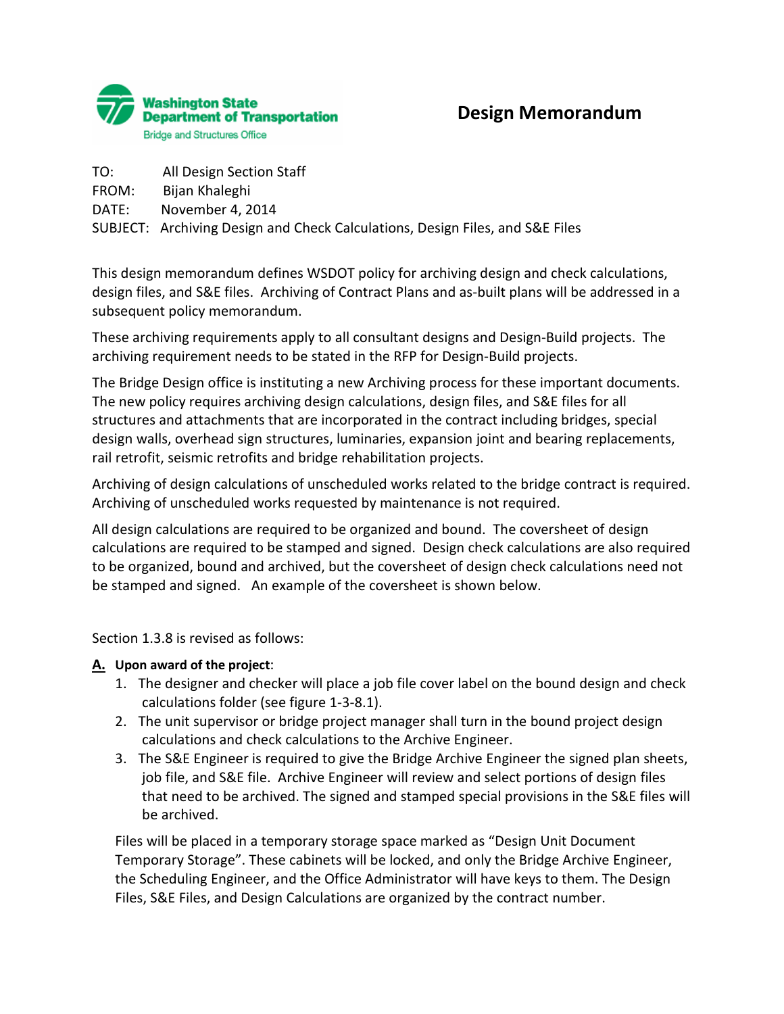

- TO: All Design Section Staff
- FROM: Bijan Khaleghi
- DATE: November 4, 2014

SUBJECT: Archiving Design and Check Calculations, Design Files, and S&E Files

This design memorandum defines WSDOT policy for archiving design and check calculations, design files, and S&E files. Archiving of Contract Plans and as-built plans will be addressed in a subsequent policy memorandum.

These archiving requirements apply to all consultant designs and Design-Build projects. The archiving requirement needs to be stated in the RFP for Design-Build projects.

The Bridge Design office is instituting a new Archiving process for these important documents. The new policy requires archiving design calculations, design files, and S&E files for all structures and attachments that are incorporated in the contract including bridges, special design walls, overhead sign structures, luminaries, expansion joint and bearing replacements, rail retrofit, seismic retrofits and bridge rehabilitation projects.

Archiving of design calculations of unscheduled works related to the bridge contract is required. Archiving of unscheduled works requested by maintenance is not required.

All design calculations are required to be organized and bound. The coversheet of design calculations are required to be stamped and signed. Design check calculations are also required to be organized, bound and archived, but the coversheet of design check calculations need not be stamped and signed. An example of the coversheet is shown below.

Section 1.3.8 is revised as follows:

## **A. Upon award of the project**:

- 1. The designer and checker will place a job file cover label on the bound design and check calculations folder (see figure 1-3-8.1).
- 2. The unit supervisor or bridge project manager shall turn in the bound project design calculations and check calculations to the Archive Engineer.
- 3. The S&E Engineer is required to give the Bridge Archive Engineer the signed plan sheets, job file, and S&E file. Archive Engineer will review and select portions of design files that need to be archived. The signed and stamped special provisions in the S&E files will be archived.

Files will be placed in a temporary storage space marked as "Design Unit Document Temporary Storage". These cabinets will be locked, and only the Bridge Archive Engineer, the Scheduling Engineer, and the Office Administrator will have keys to them. The Design Files, S&E Files, and Design Calculations are organized by the contract number.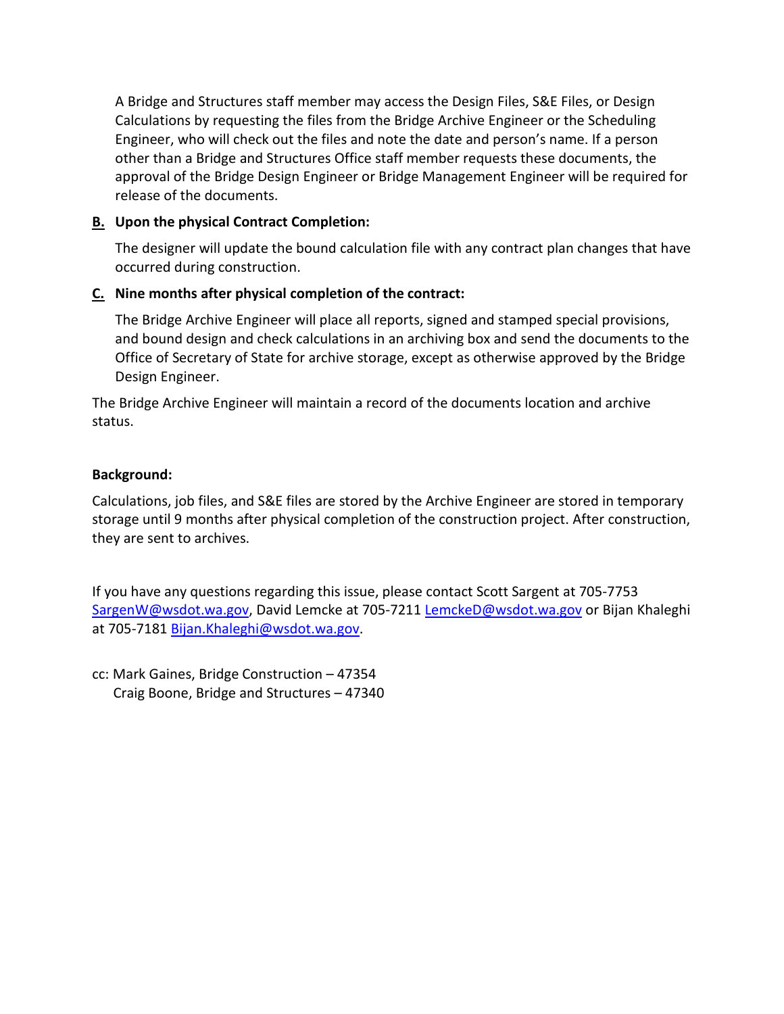A Bridge and Structures staff member may access the Design Files, S&E Files, or Design Calculations by requesting the files from the Bridge Archive Engineer or the Scheduling Engineer, who will check out the files and note the date and person's name. If a person other than a Bridge and Structures Office staff member requests these documents, the approval of the Bridge Design Engineer or Bridge Management Engineer will be required for release of the documents.

# **B. Upon the physical Contract Completion:**

The designer will update the bound calculation file with any contract plan changes that have occurred during construction.

# **C. Nine months after physical completion of the contract:**

The Bridge Archive Engineer will place all reports, signed and stamped special provisions, and bound design and check calculations in an archiving box and send the documents to the Office of Secretary of State for archive storage, except as otherwise approved by the Bridge Design Engineer.

The Bridge Archive Engineer will maintain a record of the documents location and archive status.

## **Background:**

Calculations, job files, and S&E files are stored by the Archive Engineer are stored in temporary storage until 9 months after physical completion of the construction project. After construction, they are sent to archives.

If you have any questions regarding this issue, please contact Scott Sargent at 705-7753 [SargenW@wsdot.wa.gov,](mailto:SargenW@wsdot.wa.gov) David Lemcke at 705-7211 [LemckeD@wsdot.wa.gov](mailto:LemckeD@wsdot.wa.gov) or Bijan Khaleghi at 705-7181 [Bijan.Khaleghi@wsdot.wa.gov.](mailto:Bijan.Khaleghi@wsdot.wa.gov)

cc: Mark Gaines, Bridge Construction – 47354 Craig Boone, Bridge and Structures – 47340